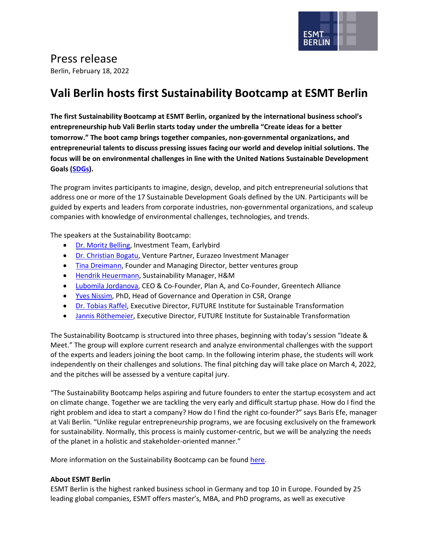

## Press release

Berlin, February 18, 2022

## **Vali Berlin hosts first Sustainability Bootcamp at ESMT Berlin**

**The first Sustainability Bootcamp at ESMT Berlin, organized by the international business school's entrepreneurship hub Vali Berlin starts today under the umbrella "Create ideas for a better tomorrow." The boot camp brings together companies, non-governmental organizations, and entrepreneurial talents to discuss pressing issues facing our world and develop initial solutions. The focus will be on environmental challenges in line with the United Nations Sustainable Development Goals [\(SDGs\)](https://sdgs.un.org/goals).** 

The program invites participants to imagine, design, develop, and pitch entrepreneurial solutions that address one or more of the 17 Sustainable Development Goals defined by the UN. Participants will be guided by experts and leaders from corporate industries, non-governmental organizations, and scaleup companies with knowledge of environmental challenges, technologies, and trends.

The speakers at the Sustainability Bootcamp:

- [Dr. Moritz Belling,](https://www.linkedin.com/in/dr-moritz-belling-376968b3/) Investment Team, Earlybird
- [Dr. Christian Bogatu,](https://www.linkedin.com/in/christian-bogatu-6b7aa3/) Venture Partner, Eurazeo Investment Manager
- [Tina Dreimann,](https://www.linkedin.com/in/tina-dreimann-49bb88151/) Founder and Managing Director, better ventures group
- [Hendrik Heuermann,](https://www.linkedin.com/in/hendrik-heuermann/) Sustainability Manager, H&M
- [Lubomila Jordanova,](https://www.linkedin.com/in/ljordanova/) CEO & Co-Founder, Plan A, and Co-Founder, Greentech Alliance
- [Yves Nissim,](https://www.linkedin.com/in/yves-nissim-a165736/) PhD, Head of Governance and Operation in CSR, Orange
- [Dr. Tobias Raffel,](https://www.linkedin.com/in/tobias-raffel/) Executive Director, FUTURE Institute for Sustainable Transformation
- [Jannis Röthemeier,](https://www.linkedin.com/in/jannisroethemeier/) Executive Director, FUTURE Institute for Sustainable Transformation

The Sustainability Bootcamp is structured into three phases, beginning with today's session "Ideate & Meet." The group will explore current research and analyze environmental challenges with the support of the experts and leaders joining the boot camp. In the following interim phase, the students will work independently on their challenges and solutions. The final pitching day will take place on March 4, 2022, and the pitches will be assessed by a venture capital jury.

"The Sustainability Bootcamp helps aspiring and future founders to enter the startup ecosystem and act on climate change. Together we are tackling the very early and difficult startup phase. How do I find the right problem and idea to start a company? How do I find the right co-founder?" says Baris Efe, manager at Vali Berlin. "Unlike regular entrepreneurship programs, we are focusing exclusively on the framework for sustainability. Normally, this process is mainly customer-centric, but we will be analyzing the needs of the planet in a holistic and stakeholder-oriented manner."

More information on the Sustainability Bootcamp can be found [here.](https://faculty-research.esmt.berlin/institutes/institute-endowment-management-and-entrepreneurial-finance/vali-berlin-entrepreneurship)

## **About ESMT Berlin**

ESMT Berlin is the highest ranked business school in Germany and top 10 in Europe. Founded by 25 leading global companies, ESMT offers master's, MBA, and PhD programs, as well as executive